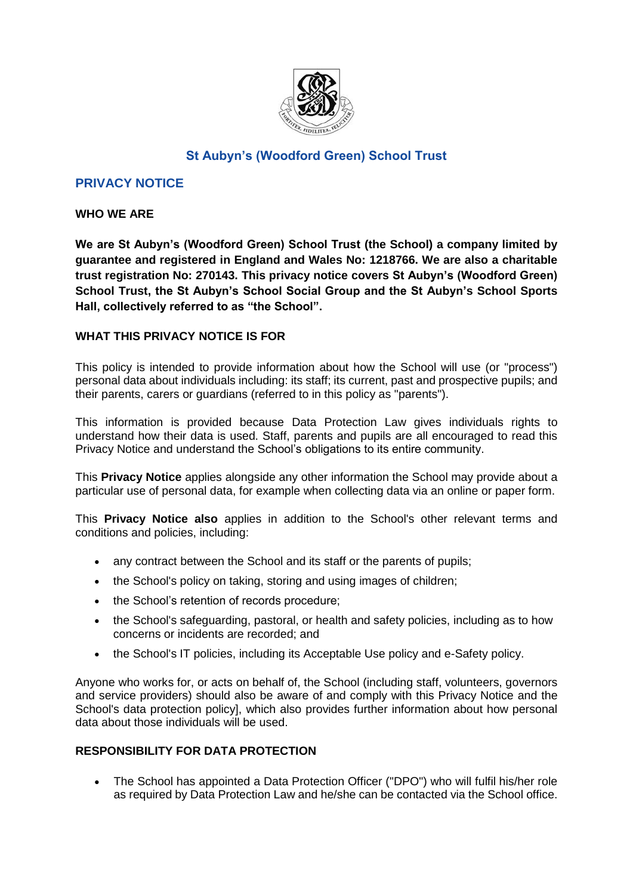

# **St Aubyn's (Woodford Green) School Trust**

# **PRIVACY NOTICE**

### **WHO WE ARE**

**We are St Aubyn's (Woodford Green) School Trust (the School) a company limited by guarantee and registered in England and Wales No: 1218766. We are also a charitable trust registration No: 270143. This privacy notice covers St Aubyn's (Woodford Green) School Trust, the St Aubyn's School Social Group and the St Aubyn's School Sports Hall, collectively referred to as "the School".**

### **WHAT THIS PRIVACY NOTICE IS FOR**

This policy is intended to provide information about how the School will use (or "process") personal data about individuals including: its staff; its current, past and prospective pupils; and their parents, carers or guardians (referred to in this policy as "parents").

This information is provided because Data Protection Law gives individuals rights to understand how their data is used. Staff, parents and pupils are all encouraged to read this Privacy Notice and understand the School's obligations to its entire community.

This **Privacy Notice** applies alongside any other information the School may provide about a particular use of personal data, for example when collecting data via an online or paper form.

This **Privacy Notice also** applies in addition to the School's other relevant terms and conditions and policies, including:

- any contract between the School and its staff or the parents of pupils;
- the School's policy on taking, storing and using images of children;
- the School's retention of records procedure;
- the School's safeguarding, pastoral, or health and safety policies, including as to how concerns or incidents are recorded; and
- the School's IT policies, including its Acceptable Use policy and e-Safety policy.

Anyone who works for, or acts on behalf of, the School (including staff, volunteers, governors and service providers) should also be aware of and comply with this Privacy Notice and the School's data protection policy], which also provides further information about how personal data about those individuals will be used.

### **RESPONSIBILITY FOR DATA PROTECTION**

 The School has appointed a Data Protection Officer ("DPO") who will fulfil his/her role as required by Data Protection Law and he/she can be contacted via the School office.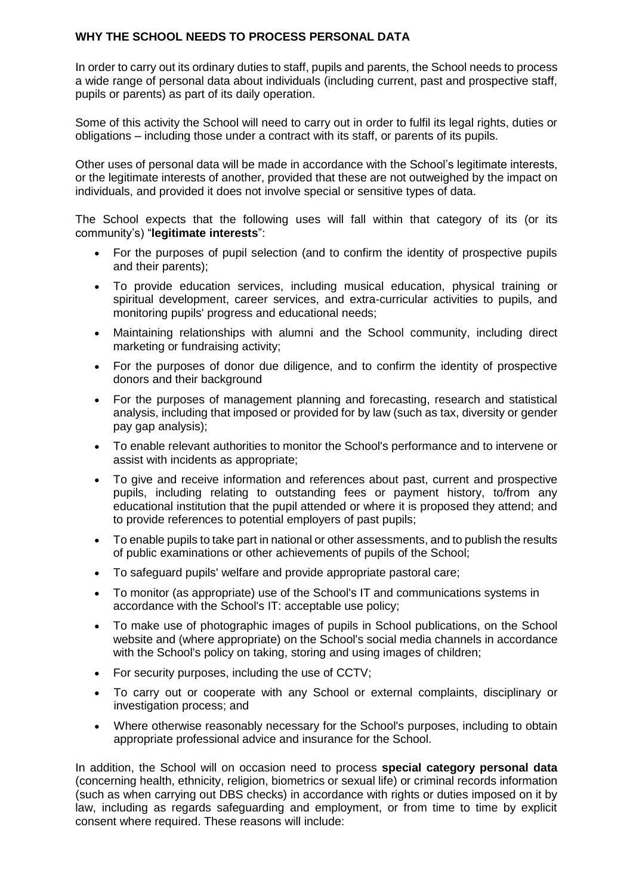# **WHY THE SCHOOL NEEDS TO PROCESS PERSONAL DATA**

In order to carry out its ordinary duties to staff, pupils and parents, the School needs to process a wide range of personal data about individuals (including current, past and prospective staff, pupils or parents) as part of its daily operation.

Some of this activity the School will need to carry out in order to fulfil its legal rights, duties or obligations – including those under a contract with its staff, or parents of its pupils.

Other uses of personal data will be made in accordance with the School's legitimate interests, or the legitimate interests of another, provided that these are not outweighed by the impact on individuals, and provided it does not involve special or sensitive types of data.

The School expects that the following uses will fall within that category of its (or its community's) "**legitimate interests**":

- For the purposes of pupil selection (and to confirm the identity of prospective pupils and their parents);
- To provide education services, including musical education, physical training or spiritual development, career services, and extra-curricular activities to pupils, and monitoring pupils' progress and educational needs;
- Maintaining relationships with alumni and the School community, including direct marketing or fundraising activity;
- For the purposes of donor due diligence, and to confirm the identity of prospective donors and their background
- For the purposes of management planning and forecasting, research and statistical analysis, including that imposed or provided for by law (such as tax, diversity or gender pay gap analysis);
- To enable relevant authorities to monitor the School's performance and to intervene or assist with incidents as appropriate;
- To give and receive information and references about past, current and prospective pupils, including relating to outstanding fees or payment history, to/from any educational institution that the pupil attended or where it is proposed they attend; and to provide references to potential employers of past pupils;
- To enable pupils to take part in national or other assessments, and to publish the results of public examinations or other achievements of pupils of the School;
- To safeguard pupils' welfare and provide appropriate pastoral care;
- To monitor (as appropriate) use of the School's IT and communications systems in accordance with the School's IT: acceptable use policy;
- To make use of photographic images of pupils in School publications, on the School website and (where appropriate) on the School's social media channels in accordance with the School's policy on taking, storing and using images of children;
- For security purposes, including the use of CCTV;
- To carry out or cooperate with any School or external complaints, disciplinary or investigation process; and
- Where otherwise reasonably necessary for the School's purposes, including to obtain appropriate professional advice and insurance for the School.

In addition, the School will on occasion need to process **special category personal data** (concerning health, ethnicity, religion, biometrics or sexual life) or criminal records information (such as when carrying out DBS checks) in accordance with rights or duties imposed on it by law, including as regards safeguarding and employment, or from time to time by explicit consent where required. These reasons will include: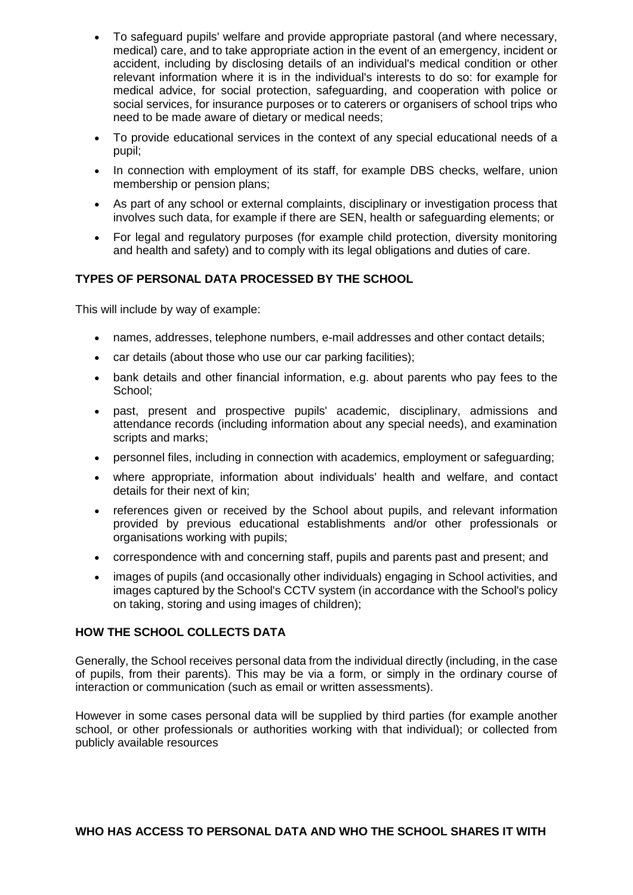- To safeguard pupils' welfare and provide appropriate pastoral (and where necessary, medical) care, and to take appropriate action in the event of an emergency, incident or accident, including by disclosing details of an individual's medical condition or other relevant information where it is in the individual's interests to do so: for example for medical advice, for social protection, safeguarding, and cooperation with police or social services, for insurance purposes or to caterers or organisers of school trips who need to be made aware of dietary or medical needs;
- To provide educational services in the context of any special educational needs of a pupil;
- In connection with employment of its staff, for example DBS checks, welfare, union membership or pension plans;
- As part of any school or external complaints, disciplinary or investigation process that involves such data, for example if there are SEN, health or safeguarding elements; or
- For legal and regulatory purposes (for example child protection, diversity monitoring and health and safety) and to comply with its legal obligations and duties of care.

### **TYPES OF PERSONAL DATA PROCESSED BY THE SCHOOL**

This will include by way of example:

- names, addresses, telephone numbers, e-mail addresses and other contact details;
- car details (about those who use our car parking facilities);
- bank details and other financial information, e.g. about parents who pay fees to the School;
- past, present and prospective pupils' academic, disciplinary, admissions and attendance records (including information about any special needs), and examination scripts and marks:
- personnel files, including in connection with academics, employment or safeguarding;
- where appropriate, information about individuals' health and welfare, and contact details for their next of kin;
- references given or received by the School about pupils, and relevant information provided by previous educational establishments and/or other professionals or organisations working with pupils;
- correspondence with and concerning staff, pupils and parents past and present; and
- images of pupils (and occasionally other individuals) engaging in School activities, and images captured by the School's CCTV system (in accordance with the School's policy on taking, storing and using images of children);

### **HOW THE SCHOOL COLLECTS DATA**

Generally, the School receives personal data from the individual directly (including, in the case of pupils, from their parents). This may be via a form, or simply in the ordinary course of interaction or communication (such as email or written assessments).

However in some cases personal data will be supplied by third parties (for example another school, or other professionals or authorities working with that individual); or collected from publicly available resources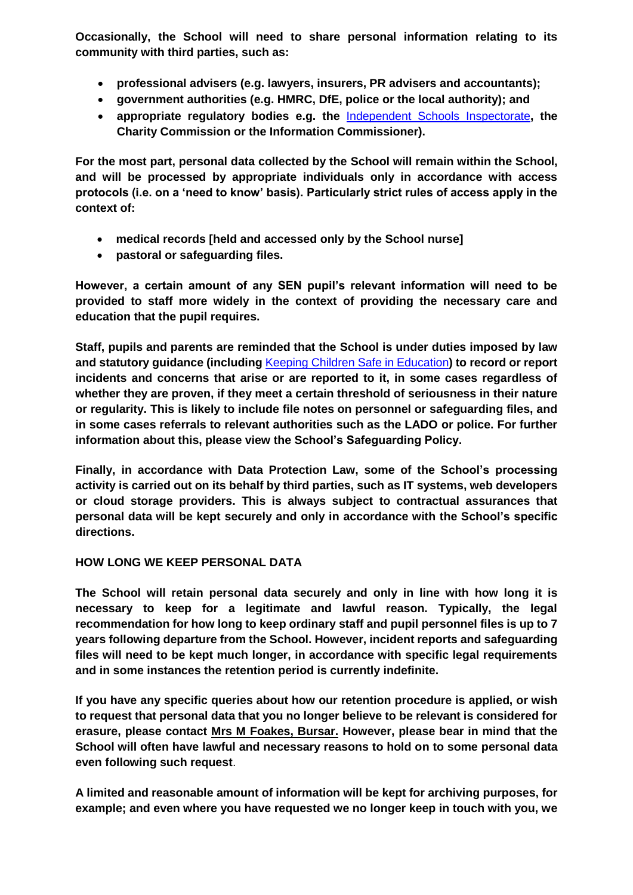**Occasionally, the School will need to share personal information relating to its community with third parties, such as:**

- **professional advisers (e.g. lawyers, insurers, PR advisers and accountants);**
- **government authorities (e.g. HMRC, DfE, police or the local authority); and**
- **appropriate regulatory bodies e.g. the** [Independent Schools Inspectorate](https://www.isi.net/)**, the Charity Commission or the Information Commissioner).**

**For the most part, personal data collected by the School will remain within the School, and will be processed by appropriate individuals only in accordance with access protocols (i.e. on a 'need to know' basis). Particularly strict rules of access apply in the context of:**

- **medical records [held and accessed only by the School nurse]**
- **pastoral or safeguarding files.**

**However, a certain amount of any SEN pupil's relevant information will need to be provided to staff more widely in the context of providing the necessary care and education that the pupil requires.**

**Staff, pupils and parents are reminded that the School is under duties imposed by law and statutory guidance (including** Keeping Children Safe in Education**) to record or report incidents and concerns that arise or are reported to it, in some cases regardless of whether they are proven, if they meet a certain threshold of seriousness in their nature or regularity. This is likely to include file notes on personnel or safeguarding files, and in some cases referrals to relevant authorities such as the LADO or police. For further information about this, please view the School's Safeguarding Policy.** 

**Finally, in accordance with Data Protection Law, some of the School's processing activity is carried out on its behalf by third parties, such as IT systems, web developers or cloud storage providers. This is always subject to contractual assurances that personal data will be kept securely and only in accordance with the School's specific directions.** 

### **HOW LONG WE KEEP PERSONAL DATA**

**The School will retain personal data securely and only in line with how long it is necessary to keep for a legitimate and lawful reason. Typically, the legal recommendation for how long to keep ordinary staff and pupil personnel files is up to 7 years following departure from the School. However, incident reports and safeguarding files will need to be kept much longer, in accordance with specific legal requirements and in some instances the retention period is currently indefinite.**

**If you have any specific queries about how our retention procedure is applied, or wish to request that personal data that you no longer believe to be relevant is considered for erasure, please contact Mrs M Foakes, Bursar. However, please bear in mind that the School will often have lawful and necessary reasons to hold on to some personal data even following such request**.

**A limited and reasonable amount of information will be kept for archiving purposes, for example; and even where you have requested we no longer keep in touch with you, we**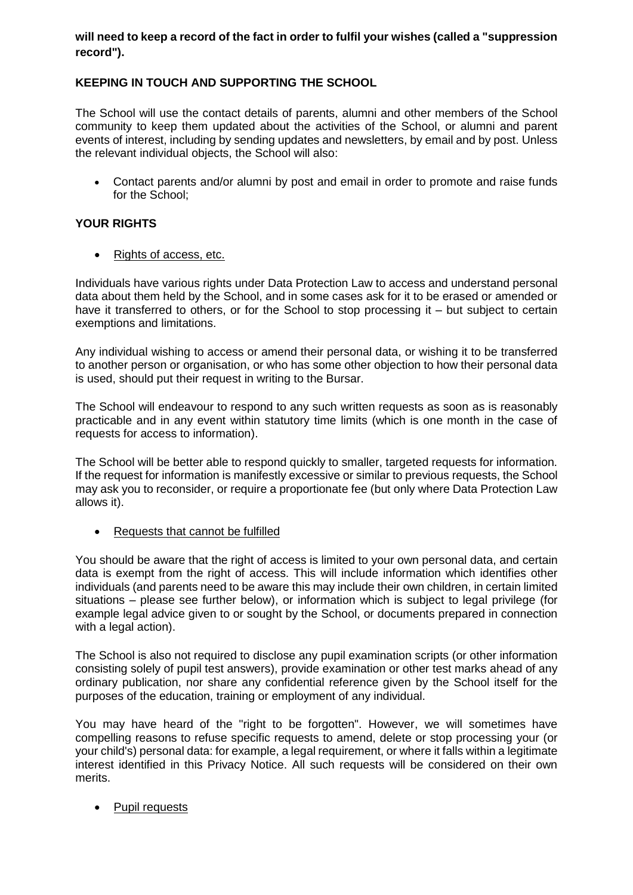# **will need to keep a record of the fact in order to fulfil your wishes (called a "suppression record").**

# **KEEPING IN TOUCH AND SUPPORTING THE SCHOOL**

The School will use the contact details of parents, alumni and other members of the School community to keep them updated about the activities of the School, or alumni and parent events of interest, including by sending updates and newsletters, by email and by post. Unless the relevant individual objects, the School will also:

 Contact parents and/or alumni by post and email in order to promote and raise funds for the School;

# **YOUR RIGHTS**

• Rights of access, etc.

Individuals have various rights under Data Protection Law to access and understand personal data about them held by the School, and in some cases ask for it to be erased or amended or have it transferred to others, or for the School to stop processing it – but subject to certain exemptions and limitations.

Any individual wishing to access or amend their personal data, or wishing it to be transferred to another person or organisation, or who has some other objection to how their personal data is used, should put their request in writing to the Bursar.

The School will endeavour to respond to any such written requests as soon as is reasonably practicable and in any event within statutory time limits (which is one month in the case of requests for access to information).

The School will be better able to respond quickly to smaller, targeted requests for information. If the request for information is manifestly excessive or similar to previous requests, the School may ask you to reconsider, or require a proportionate fee (but only where Data Protection Law allows it).

• Requests that cannot be fulfilled

You should be aware that the right of access is limited to your own personal data, and certain data is exempt from the right of access. This will include information which identifies other individuals (and parents need to be aware this may include their own children, in certain limited situations – please see further below), or information which is subject to legal privilege (for example legal advice given to or sought by the School, or documents prepared in connection with a legal action).

The School is also not required to disclose any pupil examination scripts (or other information consisting solely of pupil test answers), provide examination or other test marks ahead of any ordinary publication, nor share any confidential reference given by the School itself for the purposes of the education, training or employment of any individual.

You may have heard of the "right to be forgotten". However, we will sometimes have compelling reasons to refuse specific requests to amend, delete or stop processing your (or your child's) personal data: for example, a legal requirement, or where it falls within a legitimate interest identified in this Privacy Notice. All such requests will be considered on their own merits.

• Pupil requests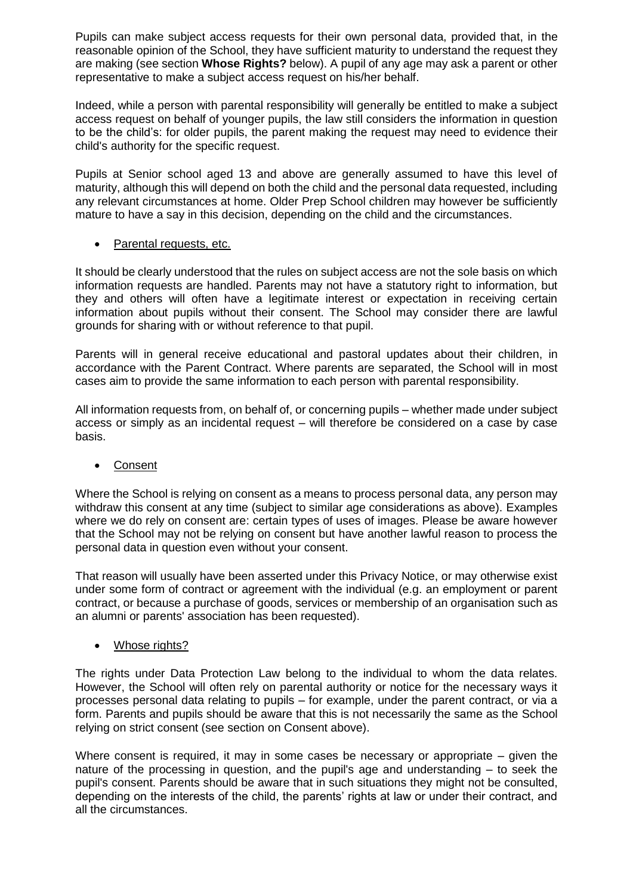Pupils can make subject access requests for their own personal data, provided that, in the reasonable opinion of the School, they have sufficient maturity to understand the request they are making (see section **Whose Rights?** below). A pupil of any age may ask a parent or other representative to make a subject access request on his/her behalf.

Indeed, while a person with parental responsibility will generally be entitled to make a subject access request on behalf of younger pupils, the law still considers the information in question to be the child's: for older pupils, the parent making the request may need to evidence their child's authority for the specific request.

Pupils at Senior school aged 13 and above are generally assumed to have this level of maturity, although this will depend on both the child and the personal data requested, including any relevant circumstances at home. Older Prep School children may however be sufficiently mature to have a say in this decision, depending on the child and the circumstances.

### Parental requests, etc.

It should be clearly understood that the rules on subject access are not the sole basis on which information requests are handled. Parents may not have a statutory right to information, but they and others will often have a legitimate interest or expectation in receiving certain information about pupils without their consent. The School may consider there are lawful grounds for sharing with or without reference to that pupil.

Parents will in general receive educational and pastoral updates about their children, in accordance with the Parent Contract. Where parents are separated, the School will in most cases aim to provide the same information to each person with parental responsibility.

All information requests from, on behalf of, or concerning pupils – whether made under subject access or simply as an incidental request – will therefore be considered on a case by case basis.

### Consent

Where the School is relying on consent as a means to process personal data, any person may withdraw this consent at any time (subject to similar age considerations as above). Examples where we do rely on consent are: certain types of uses of images. Please be aware however that the School may not be relying on consent but have another lawful reason to process the personal data in question even without your consent.

That reason will usually have been asserted under this Privacy Notice, or may otherwise exist under some form of contract or agreement with the individual (e.g. an employment or parent contract, or because a purchase of goods, services or membership of an organisation such as an alumni or parents' association has been requested).

### Whose rights?

The rights under Data Protection Law belong to the individual to whom the data relates. However, the School will often rely on parental authority or notice for the necessary ways it processes personal data relating to pupils – for example, under the parent contract, or via a form. Parents and pupils should be aware that this is not necessarily the same as the School relying on strict consent (see section on Consent above).

Where consent is required, it may in some cases be necessary or appropriate – given the nature of the processing in question, and the pupil's age and understanding – to seek the pupil's consent. Parents should be aware that in such situations they might not be consulted, depending on the interests of the child, the parents' rights at law or under their contract, and all the circumstances.